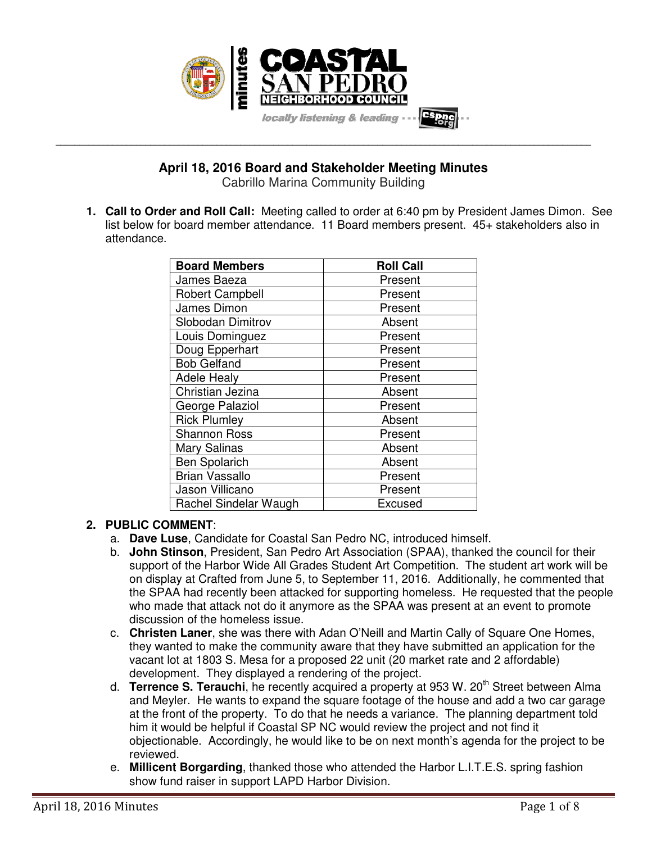

**April 18, 2016 Board and Stakeholder Meeting Minutes** 

**\_\_\_\_\_\_\_\_\_\_\_\_\_\_\_\_\_\_\_\_\_\_\_\_\_\_\_\_\_\_\_\_\_\_\_\_\_\_\_\_\_\_\_\_\_\_\_\_\_\_\_\_\_\_\_\_\_\_\_\_\_\_\_\_\_\_\_\_\_\_\_\_\_\_\_\_\_\_\_\_\_\_\_\_\_\_\_\_\_\_\_\_\_\_\_\_\_\_\_\_\_\_\_\_\_\_\_\_\_\_\_\_\_** 

Cabrillo Marina Community Building

**1. Call to Order and Roll Call:** Meeting called to order at 6:40 pm by President James Dimon. See list below for board member attendance. 11 Board members present. 45+ stakeholders also in attendance.

| <b>Board Members</b>   | <b>Roll Call</b> |
|------------------------|------------------|
| James Baeza            | Present          |
| <b>Robert Campbell</b> | Present          |
| James Dimon            | Present          |
| Slobodan Dimitrov      | Absent           |
| Louis Dominguez        | Present          |
| Doug Epperhart         | Present          |
| <b>Bob Gelfand</b>     | Present          |
| <b>Adele Healy</b>     | Present          |
| Christian Jezina       | Absent           |
| George Palaziol        | Present          |
| <b>Rick Plumley</b>    | Absent           |
| <b>Shannon Ross</b>    | Present          |
| <b>Mary Salinas</b>    | Absent           |
| <b>Ben Spolarich</b>   | Absent           |
| <b>Brian Vassallo</b>  | Present          |
| Jason Villicano        | Present          |
| Rachel Sindelar Waugh  | Excused          |

## **2. PUBLIC COMMENT**:

- a. **Dave Luse**, Candidate for Coastal San Pedro NC, introduced himself.
- b. **John Stinson**, President, San Pedro Art Association (SPAA), thanked the council for their support of the Harbor Wide All Grades Student Art Competition. The student art work will be on display at Crafted from June 5, to September 11, 2016. Additionally, he commented that the SPAA had recently been attacked for supporting homeless. He requested that the people who made that attack not do it anymore as the SPAA was present at an event to promote discussion of the homeless issue.
- c. **Christen Laner**, she was there with Adan O'Neill and Martin Cally of Square One Homes, they wanted to make the community aware that they have submitted an application for the vacant lot at 1803 S. Mesa for a proposed 22 unit (20 market rate and 2 affordable) development. They displayed a rendering of the project.
- d. **Terrence S. Terauchi**, he recently acquired a property at 953 W. 20<sup>th</sup> Street between Alma and Meyler. He wants to expand the square footage of the house and add a two car garage at the front of the property. To do that he needs a variance. The planning department told him it would be helpful if Coastal SP NC would review the project and not find it objectionable. Accordingly, he would like to be on next month's agenda for the project to be reviewed.
- e. **Millicent Borgarding**, thanked those who attended the Harbor L.I.T.E.S. spring fashion show fund raiser in support LAPD Harbor Division.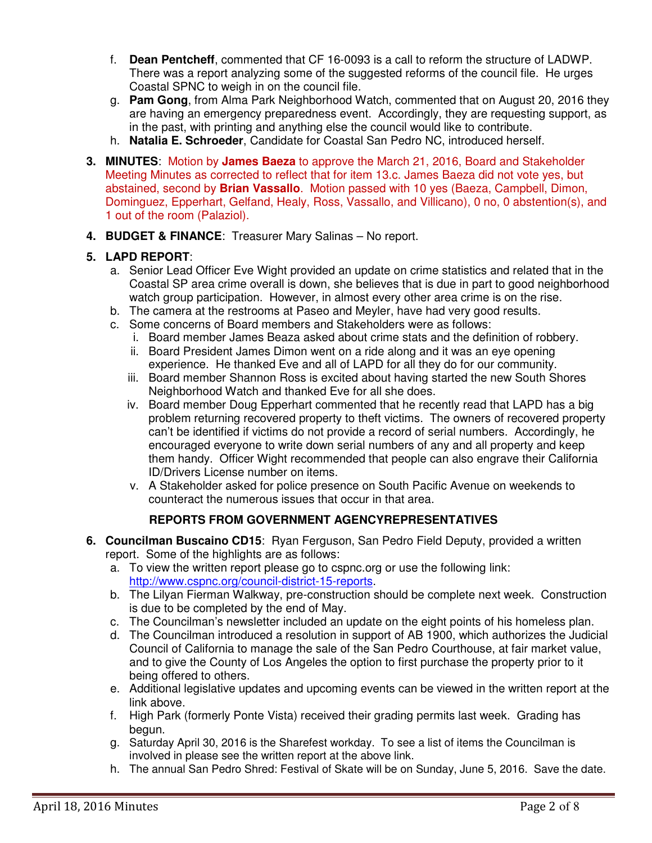- f. **Dean Pentcheff**, commented that CF 16-0093 is a call to reform the structure of LADWP. There was a report analyzing some of the suggested reforms of the council file. He urges Coastal SPNC to weigh in on the council file.
- g. **Pam Gong**, from Alma Park Neighborhood Watch, commented that on August 20, 2016 they are having an emergency preparedness event. Accordingly, they are requesting support, as in the past, with printing and anything else the council would like to contribute.
- h. **Natalia E. Schroeder**, Candidate for Coastal San Pedro NC, introduced herself.
- **3. MINUTES**: Motion by **James Baeza** to approve the March 21, 2016, Board and Stakeholder Meeting Minutes as corrected to reflect that for item 13.c. James Baeza did not vote yes, but abstained, second by **Brian Vassallo**. Motion passed with 10 yes (Baeza, Campbell, Dimon, Dominguez, Epperhart, Gelfand, Healy, Ross, Vassallo, and Villicano), 0 no, 0 abstention(s), and 1 out of the room (Palaziol).
- **4. BUDGET & FINANCE**: Treasurer Mary Salinas No report.

### **5. LAPD REPORT**:

- a. Senior Lead Officer Eve Wight provided an update on crime statistics and related that in the Coastal SP area crime overall is down, she believes that is due in part to good neighborhood watch group participation. However, in almost every other area crime is on the rise.
- b. The camera at the restrooms at Paseo and Meyler, have had very good results.
- c. Some concerns of Board members and Stakeholders were as follows:
	- i. Board member James Beaza asked about crime stats and the definition of robbery.
	- ii. Board President James Dimon went on a ride along and it was an eye opening experience. He thanked Eve and all of LAPD for all they do for our community.
	- iii. Board member Shannon Ross is excited about having started the new South Shores Neighborhood Watch and thanked Eve for all she does.
	- iv. Board member Doug Epperhart commented that he recently read that LAPD has a big problem returning recovered property to theft victims. The owners of recovered property can't be identified if victims do not provide a record of serial numbers. Accordingly, he encouraged everyone to write down serial numbers of any and all property and keep them handy. Officer Wight recommended that people can also engrave their California ID/Drivers License number on items.
	- v. A Stakeholder asked for police presence on South Pacific Avenue on weekends to counteract the numerous issues that occur in that area.

### **REPORTS FROM GOVERNMENT AGENCYREPRESENTATIVES**

- **6. Councilman Buscaino CD15**: Ryan Ferguson, San Pedro Field Deputy, provided a written report. Some of the highlights are as follows:
	- a. To view the written report please go to cspnc.org or use the following link: http://www.cspnc.org/council-district-15-reports.
	- b. The Lilyan Fierman Walkway, pre-construction should be complete next week. Construction is due to be completed by the end of May.
	- c. The Councilman's newsletter included an update on the eight points of his homeless plan.
	- d. The Councilman introduced a resolution in support of AB 1900, which authorizes the Judicial Council of California to manage the sale of the San Pedro Courthouse, at fair market value, and to give the County of Los Angeles the option to first purchase the property prior to it being offered to others.
	- e. Additional legislative updates and upcoming events can be viewed in the written report at the link above.
	- f. High Park (formerly Ponte Vista) received their grading permits last week. Grading has begun.
	- g. Saturday April 30, 2016 is the Sharefest workday. To see a list of items the Councilman is involved in please see the written report at the above link.
	- h. The annual San Pedro Shred: Festival of Skate will be on Sunday, June 5, 2016. Save the date.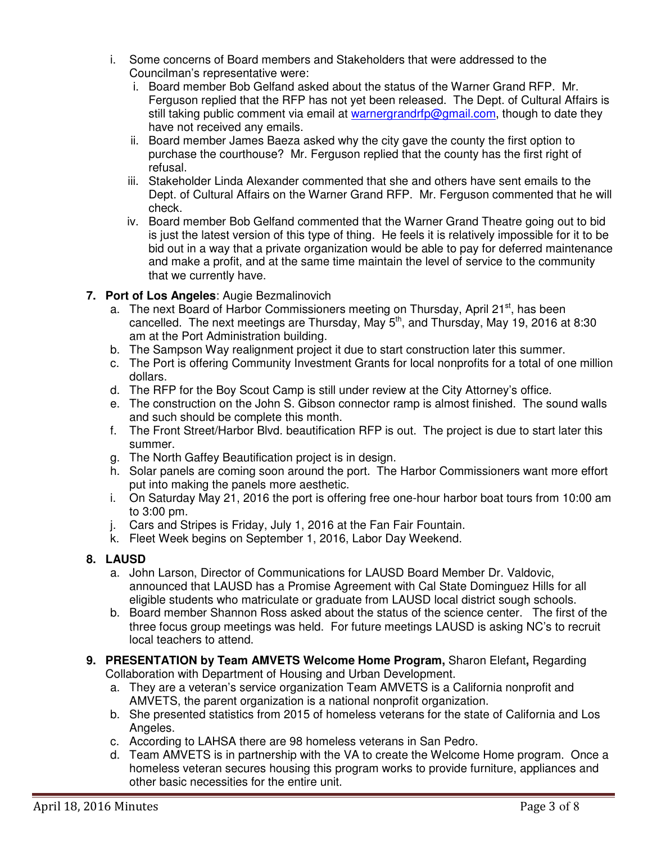- i. Some concerns of Board members and Stakeholders that were addressed to the Councilman's representative were:
	- i. Board member Bob Gelfand asked about the status of the Warner Grand RFP. Mr. Ferguson replied that the RFP has not yet been released. The Dept. of Cultural Affairs is still taking public comment via email at warnergrandrfp@gmail.com, though to date they have not received any emails.
	- ii. Board member James Baeza asked why the city gave the county the first option to purchase the courthouse? Mr. Ferguson replied that the county has the first right of refusal.
	- iii. Stakeholder Linda Alexander commented that she and others have sent emails to the Dept. of Cultural Affairs on the Warner Grand RFP. Mr. Ferguson commented that he will check.
	- iv. Board member Bob Gelfand commented that the Warner Grand Theatre going out to bid is just the latest version of this type of thing. He feels it is relatively impossible for it to be bid out in a way that a private organization would be able to pay for deferred maintenance and make a profit, and at the same time maintain the level of service to the community that we currently have.

## **7. Port of Los Angeles**: Augie Bezmalinovich

- a. The next Board of Harbor Commissioners meeting on Thursday, April 21<sup>st</sup>, has been cancelled. The next meetings are Thursday, May  $5<sup>th</sup>$ , and Thursday, May 19, 2016 at 8:30 am at the Port Administration building.
- b. The Sampson Way realignment project it due to start construction later this summer.
- c. The Port is offering Community Investment Grants for local nonprofits for a total of one million dollars.
- d. The RFP for the Boy Scout Camp is still under review at the City Attorney's office.
- e. The construction on the John S. Gibson connector ramp is almost finished. The sound walls and such should be complete this month.
- f. The Front Street/Harbor Blvd. beautification RFP is out. The project is due to start later this summer.
- g. The North Gaffey Beautification project is in design.
- h. Solar panels are coming soon around the port. The Harbor Commissioners want more effort put into making the panels more aesthetic.
- i. On Saturday May 21, 2016 the port is offering free one-hour harbor boat tours from 10:00 am to 3:00 pm.
- j. Cars and Stripes is Friday, July 1, 2016 at the Fan Fair Fountain.
- k. Fleet Week begins on September 1, 2016, Labor Day Weekend.

# **8. LAUSD**

- a. John Larson, Director of Communications for LAUSD Board Member Dr. Valdovic, announced that LAUSD has a Promise Agreement with Cal State Dominguez Hills for all eligible students who matriculate or graduate from LAUSD local district sough schools.
- b. Board member Shannon Ross asked about the status of the science center. The first of the three focus group meetings was held. For future meetings LAUSD is asking NC's to recruit local teachers to attend.
- **9. PRESENTATION by Team AMVETS Welcome Home Program,** Sharon Elefant**,** Regarding Collaboration with Department of Housing and Urban Development.
	- a. They are a veteran's service organization Team AMVETS is a California nonprofit and AMVETS, the parent organization is a national nonprofit organization.
	- b. She presented statistics from 2015 of homeless veterans for the state of California and Los Angeles.
	- c. According to LAHSA there are 98 homeless veterans in San Pedro.
	- d. Team AMVETS is in partnership with the VA to create the Welcome Home program. Once a homeless veteran secures housing this program works to provide furniture, appliances and other basic necessities for the entire unit.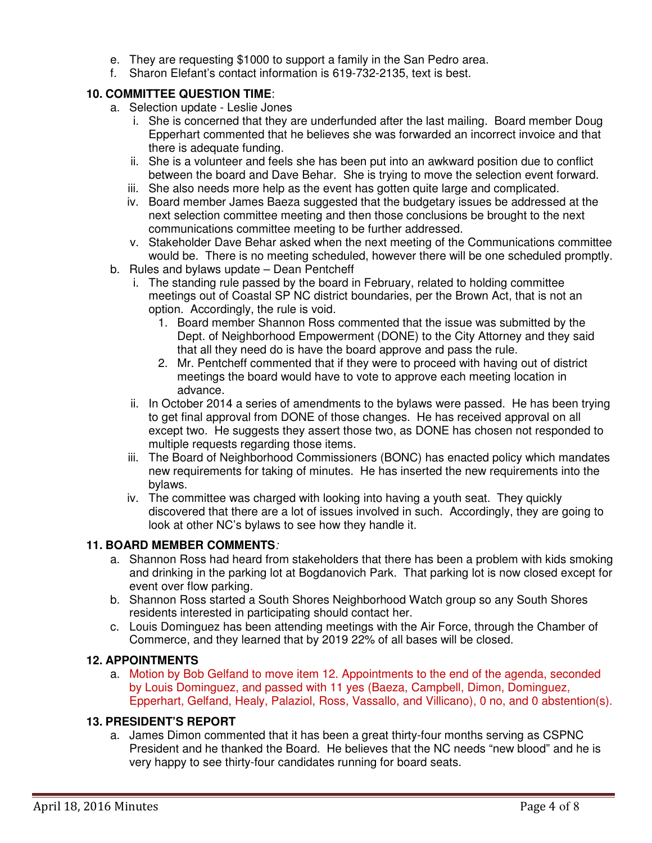- e. They are requesting \$1000 to support a family in the San Pedro area.
- f. Sharon Elefant's contact information is 619-732-2135, text is best.

## **10. COMMITTEE QUESTION TIME**:

- a. Selection update Leslie Jones
	- i. She is concerned that they are underfunded after the last mailing. Board member Doug Epperhart commented that he believes she was forwarded an incorrect invoice and that there is adequate funding.
	- ii. She is a volunteer and feels she has been put into an awkward position due to conflict between the board and Dave Behar. She is trying to move the selection event forward.
	- iii. She also needs more help as the event has gotten quite large and complicated.
	- iv. Board member James Baeza suggested that the budgetary issues be addressed at the next selection committee meeting and then those conclusions be brought to the next communications committee meeting to be further addressed.
	- v. Stakeholder Dave Behar asked when the next meeting of the Communications committee would be. There is no meeting scheduled, however there will be one scheduled promptly.
- b. Rules and bylaws update Dean Pentcheff
	- i. The standing rule passed by the board in February, related to holding committee meetings out of Coastal SP NC district boundaries, per the Brown Act, that is not an option. Accordingly, the rule is void.
		- 1. Board member Shannon Ross commented that the issue was submitted by the Dept. of Neighborhood Empowerment (DONE) to the City Attorney and they said that all they need do is have the board approve and pass the rule.
		- 2. Mr. Pentcheff commented that if they were to proceed with having out of district meetings the board would have to vote to approve each meeting location in advance.
	- ii. In October 2014 a series of amendments to the bylaws were passed. He has been trying to get final approval from DONE of those changes. He has received approval on all except two. He suggests they assert those two, as DONE has chosen not responded to multiple requests regarding those items.
	- iii. The Board of Neighborhood Commissioners (BONC) has enacted policy which mandates new requirements for taking of minutes. He has inserted the new requirements into the bylaws.
	- iv. The committee was charged with looking into having a youth seat. They quickly discovered that there are a lot of issues involved in such. Accordingly, they are going to look at other NC's bylaws to see how they handle it.

## **11. BOARD MEMBER COMMENTS***:*

- a. Shannon Ross had heard from stakeholders that there has been a problem with kids smoking and drinking in the parking lot at Bogdanovich Park. That parking lot is now closed except for event over flow parking.
- b. Shannon Ross started a South Shores Neighborhood Watch group so any South Shores residents interested in participating should contact her.
- c. Louis Dominguez has been attending meetings with the Air Force, through the Chamber of Commerce, and they learned that by 2019 22% of all bases will be closed.

## **12. APPOINTMENTS**

a. Motion by Bob Gelfand to move item 12. Appointments to the end of the agenda, seconded by Louis Dominguez, and passed with 11 yes (Baeza, Campbell, Dimon, Dominguez, Epperhart, Gelfand, Healy, Palaziol, Ross, Vassallo, and Villicano), 0 no, and 0 abstention(s).

## **13. PRESIDENT'S REPORT**

a. James Dimon commented that it has been a great thirty-four months serving as CSPNC President and he thanked the Board. He believes that the NC needs "new blood" and he is very happy to see thirty-four candidates running for board seats.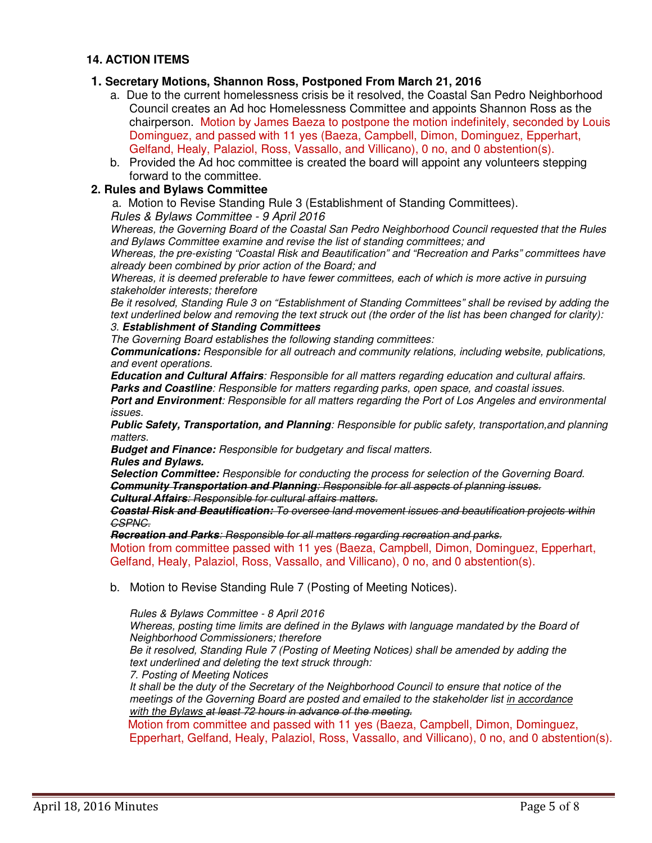#### **14. ACTION ITEMS**

#### **1. Secretary Motions, Shannon Ross, Postponed From March 21, 2016**

- a. Due to the current homelessness crisis be it resolved, the Coastal San Pedro Neighborhood Council creates an Ad hoc Homelessness Committee and appoints Shannon Ross as the chairperson. Motion by James Baeza to postpone the motion indefinitely, seconded by Louis Dominguez, and passed with 11 yes (Baeza, Campbell, Dimon, Dominguez, Epperhart, Gelfand, Healy, Palaziol, Ross, Vassallo, and Villicano), 0 no, and 0 abstention(s).
- b. Provided the Ad hoc committee is created the board will appoint any volunteers stepping forward to the committee.

#### **2. Rules and Bylaws Committee**

a.Motion to Revise Standing Rule 3 (Establishment of Standing Committees).

*Rules & Bylaws Committee - 9 April 2016* 

*Whereas, the Governing Board of the Coastal San Pedro Neighborhood Council requested that the Rules and Bylaws Committee examine and revise the list of standing committees; and* 

*Whereas, the pre-existing "Coastal Risk and Beautification" and "Recreation and Parks" committees have already been combined by prior action of the Board; and* 

*Whereas, it is deemed preferable to have fewer committees, each of which is more active in pursuing stakeholder interests; therefore* 

*Be it resolved, Standing Rule 3 on "Establishment of Standing Committees" shall be revised by adding the text underlined below and removing the text struck out (the order of the list has been changed for clarity): 3. Establishment of Standing Committees*

# *The Governing Board establishes the following standing committees:*

*Communications: Responsible for all outreach and community relations, including website, publications, and event operations.* 

*Education and Cultural Affairs: Responsible for all matters regarding education and cultural affairs. Parks and Coastline: Responsible for matters regarding parks, open space, and coastal issues.* 

*Port and Environment: Responsible for all matters regarding the Port of Los Angeles and environmental issues.* 

*Public Safety, Transportation, and Planning: Responsible for public safety, transportation,and planning matters.* 

*Budget and Finance: Responsible for budgetary and fiscal matters.* 

*Rules and Bylaws.* 

*Selection Committee: Responsible for conducting the process for selection of the Governing Board. Community Transportation and Planning: Responsible for all aspects of planning issues.* 

*Cultural Affairs: Responsible for cultural affairs matters.* 

*Coastal Risk and Beautification: To oversee land movement issues and beautification projects within CSPNC.* 

*Recreation and Parks: Responsible for all matters regarding recreation and parks.* 

Motion from committee passed with 11 yes (Baeza, Campbell, Dimon, Dominguez, Epperhart, Gelfand, Healy, Palaziol, Ross, Vassallo, and Villicano), 0 no, and 0 abstention(s).

b. Motion to Revise Standing Rule 7 (Posting of Meeting Notices).

*Rules & Bylaws Committee - 8 April 2016* 

Whereas, posting time limits are defined in the Bylaws with language mandated by the Board of *Neighborhood Commissioners; therefore* 

*Be it resolved, Standing Rule 7 (Posting of Meeting Notices) shall be amended by adding the text underlined and deleting the text struck through:* 

*7. Posting of Meeting Notices* 

*It shall be the duty of the Secretary of the Neighborhood Council to ensure that notice of the meetings of the Governing Board are posted and emailed to the stakeholder list in accordance with the Bylaws at least 72 hours in advance of the meeting.* 

 Motion from committee and passed with 11 yes (Baeza, Campbell, Dimon, Dominguez, Epperhart, Gelfand, Healy, Palaziol, Ross, Vassallo, and Villicano), 0 no, and 0 abstention(s).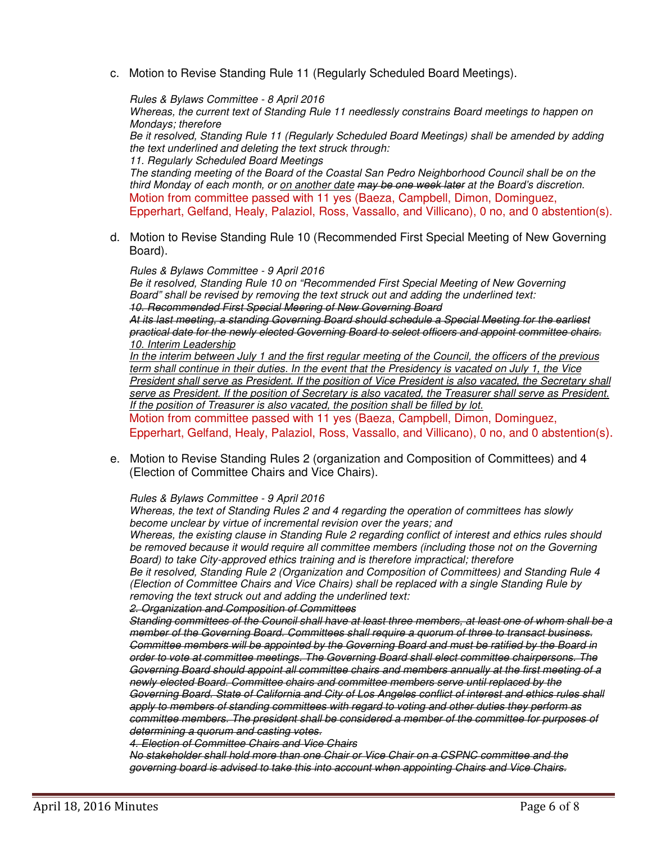c. Motion to Revise Standing Rule 11 (Regularly Scheduled Board Meetings).

*Rules & Bylaws Committee - 8 April 2016 Whereas, the current text of Standing Rule 11 needlessly constrains Board meetings to happen on Mondays; therefore Be it resolved, Standing Rule 11 (Regularly Scheduled Board Meetings) shall be amended by adding the text underlined and deleting the text struck through: 11. Regularly Scheduled Board Meetings The standing meeting of the Board of the Coastal San Pedro Neighborhood Council shall be on the third Monday of each month, or on another date may be one week later at the Board's discretion.*  Motion from committee passed with 11 yes (Baeza, Campbell, Dimon, Dominguez, Epperhart, Gelfand, Healy, Palaziol, Ross, Vassallo, and Villicano), 0 no, and 0 abstention(s).

d. Motion to Revise Standing Rule 10 (Recommended First Special Meeting of New Governing Board).

*Rules & Bylaws Committee - 9 April 2016 Be it resolved, Standing Rule 10 on "Recommended First Special Meeting of New Governing Board" shall be revised by removing the text struck out and adding the underlined text: 10. Recommended First Special Meering of New Governing Board At its last meeting, a standing Governing Board should schedule a Special Meeting for the earliest practical date for the newly elected Governing Board to select officers and appoint committee chairs. 10. Interim Leadership In the interim between July 1 and the first regular meeting of the Council, the officers of the previous term shall continue in their duties. In the event that the Presidency is vacated on July 1, the Vice President shall serve as President. If the position of Vice President is also vacated, the Secretary shall serve as President. If the position of Secretary is also vacated, the Treasurer shall serve as President. If the position of Treasurer is also vacated, the position shall be filled by lot.*  Motion from committee passed with 11 yes (Baeza, Campbell, Dimon, Dominguez, Epperhart, Gelfand, Healy, Palaziol, Ross, Vassallo, and Villicano), 0 no, and 0 abstention(s).

e. Motion to Revise Standing Rules 2 (organization and Composition of Committees) and 4 (Election of Committee Chairs and Vice Chairs).

*Rules & Bylaws Committee - 9 April 2016* 

*Whereas, the text of Standing Rules 2 and 4 regarding the operation of committees has slowly become unclear by virtue of incremental revision over the years; and Whereas, the existing clause in Standing Rule 2 regarding conflict of interest and ethics rules should be removed because it would require all committee members (including those not on the Governing Board) to take City-approved ethics training and is therefore impractical; therefore* 

*Be it resolved, Standing Rule 2 (Organization and Composition of Committees) and Standing Rule 4 (Election of Committee Chairs and Vice Chairs) shall be replaced with a single Standing Rule by removing the text struck out and adding the underlined text:* 

*2. Organization and Composition of Committees* 

*Standing committees of the Council shall have at least three members, at least one of whom shall be a member of the Governing Board. Committees shall require a quorum of three to transact business. Committee members will be appointed by the Governing Board and must be ratified by the Board in order to vote at committee meetings. The Governing Board shall elect committee chairpersons. The Governing Board should appoint all committee chairs and members annually at the first meeting of a newly elected Board. Committee chairs and committee members serve until replaced by the Governing Board. State of California and City of Los Angeles conflict of interest and ethics rules shall apply to members of standing committees with regard to voting and other duties they perform as committee members. The president shall be considered a member of the committee for purposes of determining a quorum and casting votes.* 

*4. Election of Committee Chairs and Vice Chairs* 

*No stakeholder shall hold more than one Chair or Vice Chair on a CSPNC committee and the governing board is advised to take this into account when appointing Chairs and Vice Chairs.*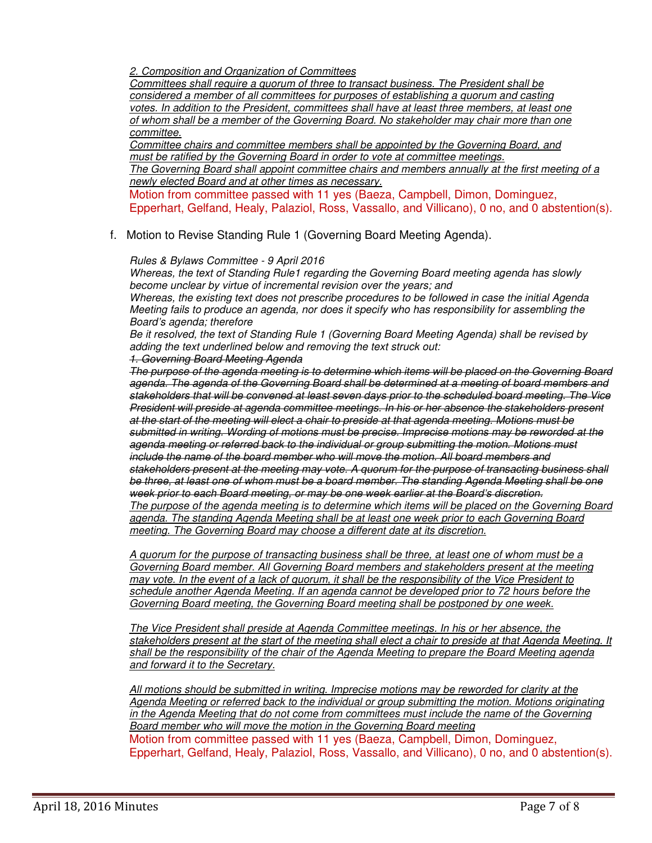*2. Composition and Organization of Committees* 

*Committees shall require a quorum of three to transact business. The President shall be considered a member of all committees for purposes of establishing a quorum and casting votes. In addition to the President, committees shall have at least three members, at least one of whom shall be a member of the Governing Board. No stakeholder may chair more than one committee.* 

*Committee chairs and committee members shall be appointed by the Governing Board, and must be ratified by the Governing Board in order to vote at committee meetings.* 

*The Governing Board shall appoint committee chairs and members annually at the first meeting of a newly elected Board and at other times as necessary.* 

Motion from committee passed with 11 yes (Baeza, Campbell, Dimon, Dominguez, Epperhart, Gelfand, Healy, Palaziol, Ross, Vassallo, and Villicano), 0 no, and 0 abstention(s).

f. Motion to Revise Standing Rule 1 (Governing Board Meeting Agenda).

#### *Rules & Bylaws Committee - 9 April 2016*

*Whereas, the text of Standing Rule1 regarding the Governing Board meeting agenda has slowly become unclear by virtue of incremental revision over the years; and* 

*Whereas, the existing text does not prescribe procedures to be followed in case the initial Agenda Meeting fails to produce an agenda, nor does it specify who has responsibility for assembling the Board's agenda; therefore* 

*Be it resolved, the text of Standing Rule 1 (Governing Board Meeting Agenda) shall be revised by adding the text underlined below and removing the text struck out:* 

#### *1. Governing Board Meeting Agenda*

*The purpose of the agenda meeting is to determine which items will be placed on the Governing Board agenda. The agenda of the Governing Board shall be determined at a meeting of board members and stakeholders that will be convened at least seven days prior to the scheduled board meeting. The Vice President will preside at agenda committee meetings. In his or her absence the stakeholders present at the start of the meeting will elect a chair to preside at that agenda meeting. Motions must be submitted in writing. Wording of motions must be precise. Imprecise motions may be reworded at the agenda meeting or referred back to the individual or group submitting the motion. Motions must include the name of the board member who will move the motion. All board members and stakeholders present at the meeting may vote. A quorum for the purpose of transacting business shall be three, at least one of whom must be a board member. The standing Agenda Meeting shall be one week prior to each Board meeting, or may be one week earlier at the Board's discretion. The purpose of the agenda meeting is to determine which items will be placed on the Governing Board agenda. The standing Agenda Meeting shall be at least one week prior to each Governing Board meeting. The Governing Board may choose a different date at its discretion.* 

*A quorum for the purpose of transacting business shall be three, at least one of whom must be a Governing Board member. All Governing Board members and stakeholders present at the meeting may vote. In the event of a lack of quorum, it shall be the responsibility of the Vice President to schedule another Agenda Meeting. If an agenda cannot be developed prior to 72 hours before the Governing Board meeting, the Governing Board meeting shall be postponed by one week.* 

*The Vice President shall preside at Agenda Committee meetings. In his or her absence, the stakeholders present at the start of the meeting shall elect a chair to preside at that Agenda Meeting. It shall be the responsibility of the chair of the Agenda Meeting to prepare the Board Meeting agenda and forward it to the Secretary.* 

*All motions should be submitted in writing. Imprecise motions may be reworded for clarity at the Agenda Meeting or referred back to the individual or group submitting the motion. Motions originating in the Agenda Meeting that do not come from committees must include the name of the Governing Board member who will move the motion in the Governing Board meeting*  Motion from committee passed with 11 yes (Baeza, Campbell, Dimon, Dominguez, Epperhart, Gelfand, Healy, Palaziol, Ross, Vassallo, and Villicano), 0 no, and 0 abstention(s).